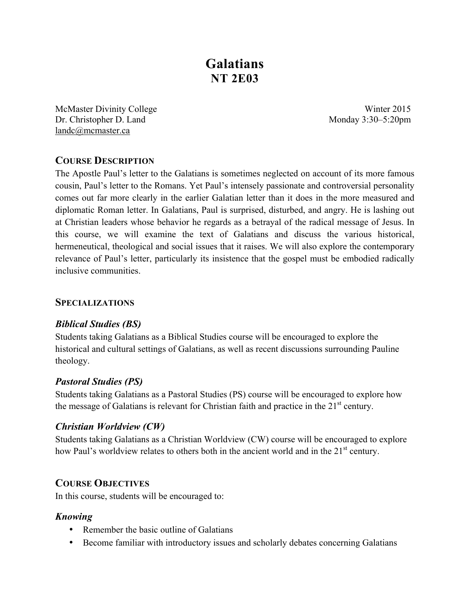# **Galatians NT 2E03**

McMaster Divinity College Winter 2015 Dr. Christopher D. Land Monday 3:30–5:20pm landc@mcmaster.ca

# **COURSE DESCRIPTION**

The Apostle Paul's letter to the Galatians is sometimes neglected on account of its more famous cousin, Paul's letter to the Romans. Yet Paul's intensely passionate and controversial personality comes out far more clearly in the earlier Galatian letter than it does in the more measured and diplomatic Roman letter. In Galatians, Paul is surprised, disturbed, and angry. He is lashing out at Christian leaders whose behavior he regards as a betrayal of the radical message of Jesus. In this course, we will examine the text of Galatians and discuss the various historical, hermeneutical, theological and social issues that it raises. We will also explore the contemporary relevance of Paul's letter, particularly its insistence that the gospel must be embodied radically inclusive communities.

### **SPECIALIZATIONS**

### *Biblical Studies (BS)*

Students taking Galatians as a Biblical Studies course will be encouraged to explore the historical and cultural settings of Galatians, as well as recent discussions surrounding Pauline theology.

### *Pastoral Studies (PS)*

Students taking Galatians as a Pastoral Studies (PS) course will be encouraged to explore how the message of Galatians is relevant for Christian faith and practice in the  $21<sup>st</sup>$  century.

### *Christian Worldview (CW)*

Students taking Galatians as a Christian Worldview (CW) course will be encouraged to explore how Paul's worldview relates to others both in the ancient world and in the 21<sup>st</sup> century.

## **COURSE OBJECTIVES**

In this course, students will be encouraged to:

### *Knowing*

- Remember the basic outline of Galatians
- Become familiar with introductory issues and scholarly debates concerning Galatians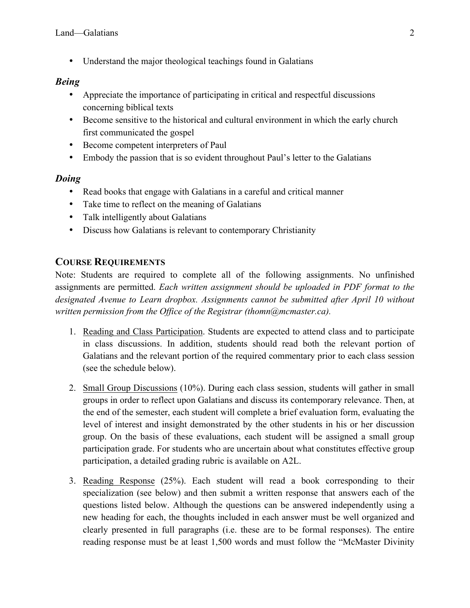• Understand the major theological teachings found in Galatians

## *Being*

- Appreciate the importance of participating in critical and respectful discussions concerning biblical texts
- Become sensitive to the historical and cultural environment in which the early church first communicated the gospel
- Become competent interpreters of Paul
- Embody the passion that is so evident throughout Paul's letter to the Galatians

## *Doing*

- Read books that engage with Galatians in a careful and critical manner
- Take time to reflect on the meaning of Galatians
- Talk intelligently about Galatians
- Discuss how Galatians is relevant to contemporary Christianity

# **COURSE REQUIREMENTS**

Note: Students are required to complete all of the following assignments. No unfinished assignments are permitted. *Each written assignment should be uploaded in PDF format to the designated Avenue to Learn dropbox. Assignments cannot be submitted after April 10 without written permission from the Office of the Registrar (thomn@mcmaster.ca).*

- 1. Reading and Class Participation. Students are expected to attend class and to participate in class discussions. In addition, students should read both the relevant portion of Galatians and the relevant portion of the required commentary prior to each class session (see the schedule below).
- 2. Small Group Discussions (10%). During each class session, students will gather in small groups in order to reflect upon Galatians and discuss its contemporary relevance. Then, at the end of the semester, each student will complete a brief evaluation form, evaluating the level of interest and insight demonstrated by the other students in his or her discussion group. On the basis of these evaluations, each student will be assigned a small group participation grade. For students who are uncertain about what constitutes effective group participation, a detailed grading rubric is available on A2L.
- 3. Reading Response (25%). Each student will read a book corresponding to their specialization (see below) and then submit a written response that answers each of the questions listed below. Although the questions can be answered independently using a new heading for each, the thoughts included in each answer must be well organized and clearly presented in full paragraphs (i.e. these are to be formal responses). The entire reading response must be at least 1,500 words and must follow the "McMaster Divinity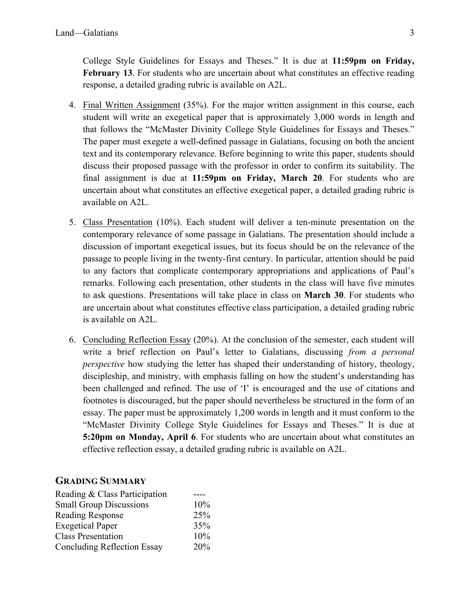College Style Guidelines for Essays and Theses." It is due at **11:59pm on Friday, February 13**. For students who are uncertain about what constitutes an effective reading response, a detailed grading rubric is available on A2L.

- 4. Final Written Assignment (35%). For the major written assignment in this course, each student will write an exegetical paper that is approximately 3,000 words in length and that follows the "McMaster Divinity College Style Guidelines for Essays and Theses." The paper must exegete a well-defined passage in Galatians, focusing on both the ancient text and its contemporary relevance. Before beginning to write this paper, students should discuss their proposed passage with the professor in order to confirm its suitability. The final assignment is due at **11:59pm on Friday, March 20**. For students who are uncertain about what constitutes an effective exegetical paper, a detailed grading rubric is available on A2L.
- 5. Class Presentation (10%). Each student will deliver a ten-minute presentation on the contemporary relevance of some passage in Galatians. The presentation should include a discussion of important exegetical issues, but its focus should be on the relevance of the passage to people living in the twenty-first century. In particular, attention should be paid to any factors that complicate contemporary appropriations and applications of Paul's remarks. Following each presentation, other students in the class will have five minutes to ask questions. Presentations will take place in class on **March 30**. For students who are uncertain about what constitutes effective class participation, a detailed grading rubric is available on A2L.
- 6. Concluding Reflection Essay (20%). At the conclusion of the semester, each student will write a brief reflection on Paul's letter to Galatians, discussing *from a personal perspective* how studying the letter has shaped their understanding of history, theology, discipleship, and ministry, with emphasis falling on how the student's understanding has been challenged and refined. The use of 'I' is encouraged and the use of citations and footnotes is discouraged, but the paper should nevertheless be structured in the form of an essay. The paper must be approximately 1,200 words in length and it must conform to the "McMaster Divinity College Style Guidelines for Essays and Theses." It is due at **5:20pm on Monday, April 6**. For students who are uncertain about what constitutes an effective reflection essay, a detailed grading rubric is available on A2L.

#### **GRADING SUMMARY**

| Reading & Class Participation      |     |
|------------------------------------|-----|
| <b>Small Group Discussions</b>     | 10% |
| <b>Reading Response</b>            | 25% |
| <b>Exegetical Paper</b>            | 35% |
| <b>Class Presentation</b>          | 10% |
| <b>Concluding Reflection Essay</b> | 20% |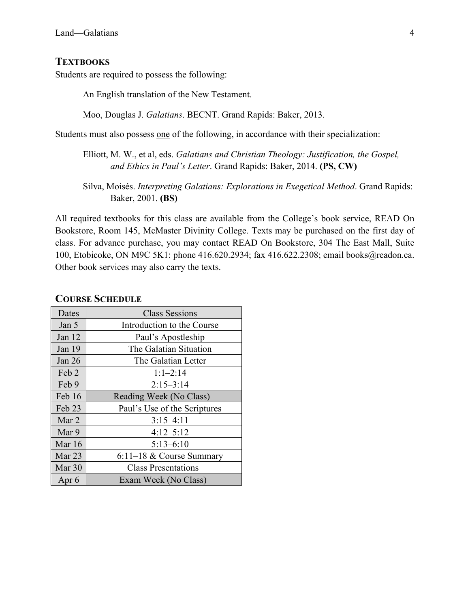### **TEXTBOOKS**

Students are required to possess the following:

An English translation of the New Testament.

Moo, Douglas J. *Galatians*. BECNT. Grand Rapids: Baker, 2013.

Students must also possess one of the following, in accordance with their specialization:

Elliott, M. W., et al, eds. *Galatians and Christian Theology: Justification, the Gospel, and Ethics in Paul's Letter*. Grand Rapids: Baker, 2014. **(PS, CW)**

Silva, Moisés. *Interpreting Galatians: Explorations in Exegetical Method*. Grand Rapids: Baker, 2001. **(BS)**

All required textbooks for this class are available from the College's book service, READ On Bookstore, Room 145, McMaster Divinity College. Texts may be purchased on the first day of class. For advance purchase, you may contact READ On Bookstore, 304 The East Mall, Suite 100, Etobicoke, ON M9C 5K1: phone 416.620.2934; fax 416.622.2308; email books@readon.ca. Other book services may also carry the texts.

#### **COURSE SCHEDULE**

| Dates    | <b>Class Sessions</b>        |
|----------|------------------------------|
| Jan 5    | Introduction to the Course   |
| Jan $12$ | Paul's Apostleship           |
| Jan 19   | The Galatian Situation       |
| Jan $26$ | The Galatian Letter          |
| Feb 2    | $1:1-2:14$                   |
| Feb 9    | $2:15 - 3:14$                |
| Feb 16   | Reading Week (No Class)      |
| Feb 23   | Paul's Use of the Scriptures |
| Mar 2    | $3:15-4:11$                  |
| Mar 9    | $4:12 - 5:12$                |
| Mar $16$ | $5:13-6:10$                  |
| Mar $23$ | $6:11-18$ & Course Summary   |
| Mar 30   | <b>Class Presentations</b>   |
| Apr 6    | Exam Week (No Class)         |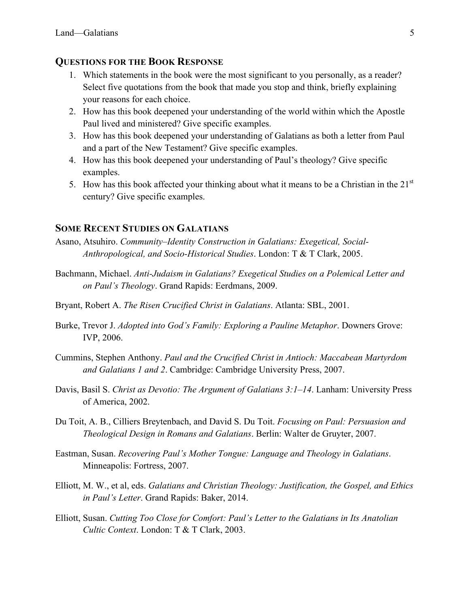#### **QUESTIONS FOR THE BOOK RESPONSE**

- 1. Which statements in the book were the most significant to you personally, as a reader? Select five quotations from the book that made you stop and think, briefly explaining your reasons for each choice.
- 2. How has this book deepened your understanding of the world within which the Apostle Paul lived and ministered? Give specific examples.
- 3. How has this book deepened your understanding of Galatians as both a letter from Paul and a part of the New Testament? Give specific examples.
- 4. How has this book deepened your understanding of Paul's theology? Give specific examples.
- 5. How has this book affected your thinking about what it means to be a Christian in the  $21<sup>st</sup>$ century? Give specific examples.

### **SOME RECENT STUDIES ON GALATIANS**

- Asano, Atsuhiro. *Community–Identity Construction in Galatians: Exegetical, Social-Anthropological, and Socio-Historical Studies*. London: T & T Clark, 2005.
- Bachmann, Michael. *Anti-Judaism in Galatians? Exegetical Studies on a Polemical Letter and on Paul's Theology*. Grand Rapids: Eerdmans, 2009.
- Bryant, Robert A. *The Risen Crucified Christ in Galatians*. Atlanta: SBL, 2001.
- Burke, Trevor J. *Adopted into God's Family: Exploring a Pauline Metaphor*. Downers Grove: IVP, 2006.
- Cummins, Stephen Anthony. *Paul and the Crucified Christ in Antioch: Maccabean Martyrdom and Galatians 1 and 2*. Cambridge: Cambridge University Press, 2007.
- Davis, Basil S. *Christ as Devotio: The Argument of Galatians 3:1–14*. Lanham: University Press of America, 2002.
- Du Toit, A. B., Cilliers Breytenbach, and David S. Du Toit. *Focusing on Paul: Persuasion and Theological Design in Romans and Galatians*. Berlin: Walter de Gruyter, 2007.
- Eastman, Susan. *Recovering Paul's Mother Tongue: Language and Theology in Galatians*. Minneapolis: Fortress, 2007.
- Elliott, M. W., et al, eds. *Galatians and Christian Theology: Justification, the Gospel, and Ethics in Paul's Letter*. Grand Rapids: Baker, 2014.
- Elliott, Susan. *Cutting Too Close for Comfort: Paul's Letter to the Galatians in Its Anatolian Cultic Context*. London: T & T Clark, 2003.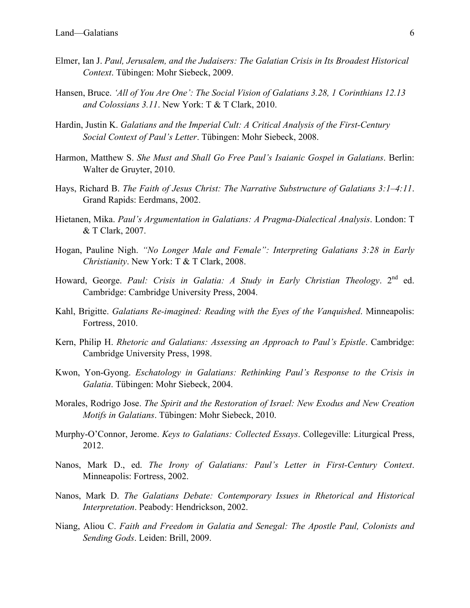- Elmer, Ian J. *Paul, Jerusalem, and the Judaisers: The Galatian Crisis in Its Broadest Historical Context*. Tübingen: Mohr Siebeck, 2009.
- Hansen, Bruce. *'All of You Are One': The Social Vision of Galatians 3.28, 1 Corinthians 12.13 and Colossians 3.11*. New York: T & T Clark, 2010.
- Hardin, Justin K. *Galatians and the Imperial Cult: A Critical Analysis of the First-Century Social Context of Paul's Letter*. Tübingen: Mohr Siebeck, 2008.
- Harmon, Matthew S. *She Must and Shall Go Free Paul's Isaianic Gospel in Galatians*. Berlin: Walter de Gruyter, 2010.
- Hays, Richard B. *The Faith of Jesus Christ: The Narrative Substructure of Galatians 3:1–4:11*. Grand Rapids: Eerdmans, 2002.
- Hietanen, Mika. *Paul's Argumentation in Galatians: A Pragma-Dialectical Analysis*. London: T & T Clark, 2007.
- Hogan, Pauline Nigh. *"No Longer Male and Female": Interpreting Galatians 3:28 in Early Christianity*. New York: T & T Clark, 2008.
- Howard, George. Paul: Crisis in Galatia: A Study in Early Christian Theology. 2<sup>nd</sup> ed. Cambridge: Cambridge University Press, 2004.
- Kahl, Brigitte. *Galatians Re-imagined: Reading with the Eyes of the Vanquished*. Minneapolis: Fortress, 2010.
- Kern, Philip H. *Rhetoric and Galatians: Assessing an Approach to Paul's Epistle*. Cambridge: Cambridge University Press, 1998.
- Kwon, Yon-Gyong. *Eschatology in Galatians: Rethinking Paul's Response to the Crisis in Galatia*. Tübingen: Mohr Siebeck, 2004.
- Morales, Rodrigo Jose. *The Spirit and the Restoration of Israel: New Exodus and New Creation Motifs in Galatians*. Tübingen: Mohr Siebeck, 2010.
- Murphy-O'Connor, Jerome. *Keys to Galatians: Collected Essays*. Collegeville: Liturgical Press, 2012.
- Nanos, Mark D., ed. *The Irony of Galatians: Paul's Letter in First-Century Context*. Minneapolis: Fortress, 2002.
- Nanos, Mark D. *The Galatians Debate: Contemporary Issues in Rhetorical and Historical Interpretation*. Peabody: Hendrickson, 2002.
- Niang, Aliou C. *Faith and Freedom in Galatia and Senegal: The Apostle Paul, Colonists and Sending Gods*. Leiden: Brill, 2009.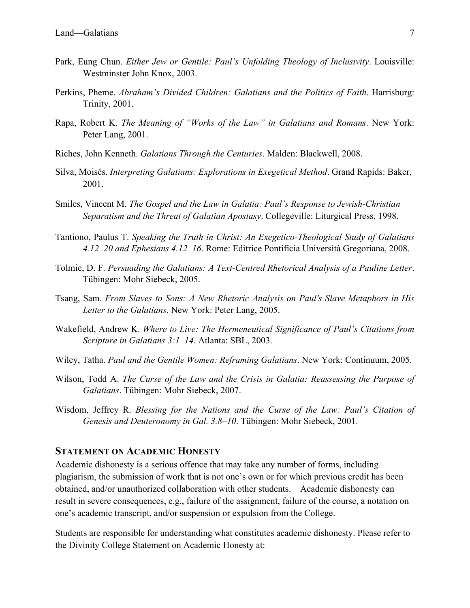- Park, Eung Chun. *Either Jew or Gentile: Paul's Unfolding Theology of Inclusivity*. Louisville: Westminster John Knox, 2003.
- Perkins, Pheme. *Abraham's Divided Children: Galatians and the Politics of Faith*. Harrisburg: Trinity, 2001.
- Rapa, Robert K. *The Meaning of "Works of the Law" in Galatians and Romans*. New York: Peter Lang, 2001.
- Riches, John Kenneth. *Galatians Through the Centuries*. Malden: Blackwell, 2008.
- Silva, Moisés. *Interpreting Galatians: Explorations in Exegetical Method*. Grand Rapids: Baker, 2001.
- Smiles, Vincent M. *The Gospel and the Law in Galatia: Paul's Response to Jewish-Christian Separatism and the Threat of Galatian Apostasy*. Collegeville: Liturgical Press, 1998.
- Tantiono, Paulus T. *Speaking the Truth in Christ: An Exegetico-Theological Study of Galatians 4.12–20 and Ephesians 4.12–16*. Rome: Editrice Pontificia Università Gregoriana, 2008.
- Tolmie, D. F. *Persuading the Galatians: A Text-Centred Rhetorical Analysis of a Pauline Letter*. Tübingen: Mohr Siebeck, 2005.
- Tsang, Sam. *From Slaves to Sons: A New Rhetoric Analysis on Paul's Slave Metaphors in His Letter to the Galatians*. New York: Peter Lang, 2005.
- Wakefield, Andrew K. *Where to Live: The Hermeneutical Significance of Paul's Citations from Scripture in Galatians 3:1–14*. Atlanta: SBL, 2003.
- Wiley, Tatha. *Paul and the Gentile Women: Reframing Galatians*. New York: Continuum, 2005.
- Wilson, Todd A. *The Curse of the Law and the Crisis in Galatia: Reassessing the Purpose of Galatians*. Tübingen: Mohr Siebeck, 2007.
- Wisdom, Jeffrey R. *Blessing for the Nations and the Curse of the Law: Paul's Citation of Genesis and Deuteronomy in Gal. 3.8–10*. Tübingen: Mohr Siebeck, 2001.

### **STATEMENT ON ACADEMIC HONESTY**

Academic dishonesty is a serious offence that may take any number of forms, including plagiarism, the submission of work that is not one's own or for which previous credit has been obtained, and/or unauthorized collaboration with other students. Academic dishonesty can result in severe consequences, e.g., failure of the assignment, failure of the course, a notation on one's academic transcript, and/or suspension or expulsion from the College.

Students are responsible for understanding what constitutes academic dishonesty. Please refer to the Divinity College Statement on Academic Honesty at: